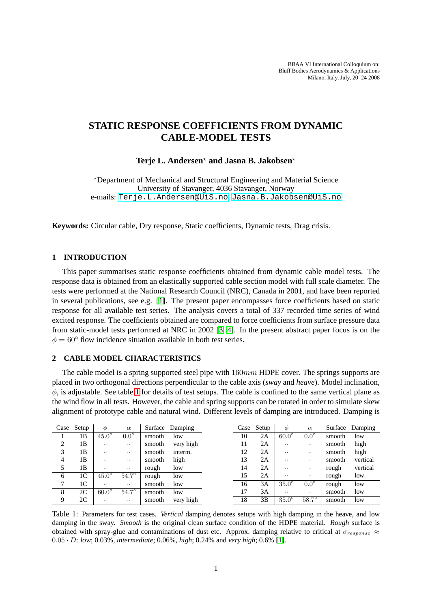BBAA VI International Colloquium on: Bluff Bodies Aerodynamics & Applications Milano, Italy, July, 20–24 2008

# **STATIC RESPONSE COEFFICIENTS FROM DYNAMIC CABLE-MODEL TESTS**

## **Terje L. Andersen**<sup>⋆</sup> **and Jasna B. Jakobsen**<sup>⋆</sup>

<sup>⋆</sup>Department of Mechanical and Structural Engineering and Material Science University of Stavanger, 4036 Stavanger, Norway e-mails: <Terje.L.Andersen@UiS.no>, <Jasna.B.Jakobsen@UiS.no>

**Keywords:** Circular cable, Dry response, Static coefficients, Dynamic tests, Drag crisis.

# **1 INTRODUCTION**

This paper summarises static response coefficients obtained from dynamic cable model tests. The response data is obtained from an elastically supported cable section model with full scale diameter. The tests were performed at the National Research Council (NRC), Canada in 2001, and have been reported in several publications, see e.g. [\[1\]](#page-3-0). The present paper encompasses force coefficients based on static response for all available test series. The analysis covers a total of 337 recorded time series of wind excited response. The coefficients obtained are compared to force coefficients from surface pressure data from static-model tests performed at NRC in 2002 [\[3,](#page-3-1) [4\]](#page-3-2). In the present abstract paper focus is on the  $\phi = 60^{\circ}$  flow incidence situation available in both test series.

## **2 CABLE MODEL CHARACTERISTICS**

The cable model is a spring supported steel pipe with  $160mm$  HDPE cover. The springs supports are placed in two orthogonal directions perpendicular to the cable axis (*sway* and *heave*). Model inclination,  $\phi$ , is adjustable. See table [1](#page-0-0) for details of test setups. The cable is confined to the same vertical plane as the wind flow in all tests. However, the cable and spring supports can be rotated in order to simulate skew alignment of prototype cable and natural wind. Different levels of damping are introduced. Damping is

| Case | Setup          | $\phi$       | $\alpha$     | Surface | Damping   | Case | Setup | Ф            | $\alpha$      |        | Surface Damping |
|------|----------------|--------------|--------------|---------|-----------|------|-------|--------------|---------------|--------|-----------------|
|      | 1B             | $45.0^\circ$ | $0.0^\circ$  | smooth  | low       | 10   | 2Α    | $60.0^\circ$ | $0.0^\circ$   | smooth | low             |
| 2    | 1B             | . .          | $\cdot$ .    | smooth  | very high |      | 2A    |              | $\cdot \cdot$ | smooth | high            |
| 3    | 1B             |              | $\cdot$ .    | smooth  | interm.   | 12   | 2Α    | $\cdot$ .    | $\cdot \cdot$ | smooth | high            |
| 4    | 1B             |              | $\cdot$ .    | smooth  | high      | 13   | 2A    | $\cdot$ .    | $\cdot \cdot$ | smooth | vertical        |
| 5    | 1B             |              | $\cdots$     | rough   | low       | 14   | 2Α    | $\cdot$ .    | $\cdot$ .     | rough  | vertical        |
| 6    | 1C             | $45.0^\circ$ | $54.7^\circ$ | rough   | low       | 15   | 2A    | $\cdot$ .    | $\cdot \cdot$ | rough  | low             |
| 7    | 1 <sup>C</sup> |              | $\cdot$ .    | smooth  | low       | 16   | 3A    | $35.0^\circ$ | $0.0^\circ$   | rough  | low             |
| 8    | 2C             | $60.0^\circ$ | $54.7^\circ$ | smooth  | low       | 17   | 3A    |              | $\cdot \cdot$ | smooth | low             |
| 9    | 2C             | . .          | $\cdot$ .    | smooth  | very high | 18   | 3B    | $35.0^\circ$ | $58.7^\circ$  | smooth | low             |

<span id="page-0-0"></span>Table 1: Parameters for test cases. *Vertical* damping denotes setups with high damping in the heave, and low damping in the sway. *Smooth* is the original clean surface condition of the HDPE material. *Rough* surface is obtained with spray-glue and contaminations of dust etc. Approx. damping relative to critical at  $\sigma_{response} \approx$ 0.05 · D: *low*; 0.03%, *intermediate*; 0.06%, *high*; 0.24% and *very high*; 0.6% [\[1\]](#page-3-0).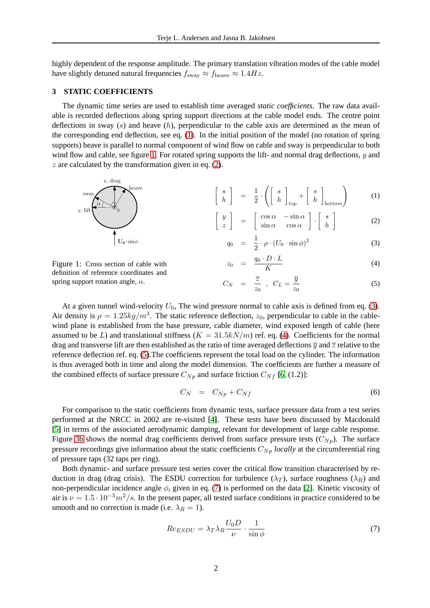highly dependent of the response amplitude. The primary translation vibration modes of the cable model have slightly detuned natural frequencies  $f_{\text{sway}} \approx f_{\text{heave}} \approx 1.4 Hz$ .

## **3 STATIC COEFFICIENTS**

The dynamic time series are used to establish time averaged *static coefficients*. The raw data available is recorded deflections along spring support directions at the cable model ends. The centre point deflections in sway  $(s)$  and heave  $(h)$ , perpendicular to the cable axis are determined as the mean of the corresponding end deflection, see eq. [\(1\)](#page-1-0). In the initial position of the model (no rotation of spring supports) heave is parallel to normal component of wind flow on cable and sway is perpendicular to both wind flow and cable, see figure [1.](#page-1-1) For rotated spring supports the lift- and normal drag deflections, y and  $z$  are calculated by the transformation given in eq. [\(2\)](#page-1-0).



<span id="page-1-0"></span>
$$
q_0 = \frac{1}{2} \cdot \rho \cdot (U_0 \cdot \sin \phi)^2 \tag{3}
$$

<span id="page-1-1"></span>Figure 1: Cross section of cable with definition of reference coordinates and spring support rotation angle,  $\alpha$ .

 $\mathbf{U}_0 \cdot \sin \phi$ 

$$
z_0 = \frac{q_0 \cdot D \cdot L}{K} \tag{4}
$$

$$
C_N = \frac{\overline{z}}{z_0} , C_L = \frac{\overline{y}}{z_0}
$$
 (5)

At a given tunnel wind-velocity  $U_0$ , The wind pressure normal to cable axis is defined from eq. [\(3\)](#page-1-0). Air density is  $\rho = 1.25 \frac{kg}{m^3}$ . The static reference deflection,  $z_0$ , perpendicular to cable in the cablewind plane is established from the base pressure, cable diameter, wind exposed length of cable (here assumed to be L) and translational stiffness  $(K = 31.5kN/m)$  ref. eq. [\(4\)](#page-1-0). Coefficients for the normal drag and transverse lift are then established as the ratio of time averaged deflections  $\overline{y}$  and  $\overline{z}$  relative to the reference deflection ref. eq. [\(5\)](#page-1-0).The coefficients represent the total load on the cylinder. The information is thus averaged both in time and along the model dimension. The coefficients are further a measure of the combined effects of surface pressure  $C_{Np}$  and surface friction  $C_{Nf}$  [\[6,](#page-3-3) (1.2)]:

<span id="page-1-3"></span>
$$
C_N = C_{Np} + C_{Nf} \tag{6}
$$

For comparison to the static coefficients from dynamic tests, surface pressure data from a test series performed at the NRCC in 2002 are re-visited [\[4\]](#page-3-2). These tests have been discussed by Macdonald [\[5\]](#page-3-4) in terms of the associated aerodynamic damping, relevant for development of large cable response. Figure [3b](#page-3-5) shows the normal drag coefficients derived from surface pressure tests  $(C_{N_p})$ . The surface pressure recordings give information about the static coefficients  $C_{Np}$  *locally* at the circumferential ring of pressure taps (32 taps per ring).

Both dynamic- and surface pressure test series cover the critical flow transition characterised by reduction in drag (drag crisis). The ESDU correction for turbulence ( $\lambda_T$ ), surface roughness ( $\lambda_R$ ) and non-perpendicular incidence angle  $\phi$ , given in eq. [\(7\)](#page-1-2) is performed on the data [\[2\]](#page-3-6). Kinetic viscosity of air is  $\nu = 1.5 \cdot 10^{-5} m^2/s$ . In the present paper, all tested surface conditions in practice considered to be smooth and no correction is made (i.e.  $\lambda_R = 1$ ).

<span id="page-1-2"></span>
$$
Re_{ESDU} = \lambda_T \lambda_R \frac{U_0 D}{\nu} \cdot \frac{1}{\sin \phi} \tag{7}
$$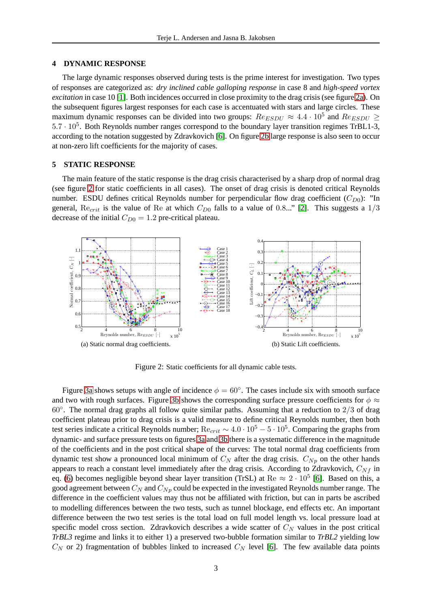#### **4 DYNAMIC RESPONSE**

The large dynamic responses observed during tests is the prime interest for investigation. Two types of responses are categorized as: *dry inclined cable galloping response* in case 8 and *high-speed vortex excitation* in case 10 [\[1\]](#page-3-0). Both incidences occurred in close proximity to the drag crisis (see figure [2a\)](#page-2-0). On the subsequent figures largest responses for each case is accentuated with stars and large circles. These maximum dynamic responses can be divided into two groups:  $Re_{ESDU} \approx 4.4 \cdot 10^5$  and  $Re_{ESDU} \ge$  $5.7 \cdot 10^5$ . Both Reynolds number ranges correspond to the boundary layer transition regimes TrBL1-3, according to the notation suggested by Zdravkovich [\[6\]](#page-3-3). On figure [2b](#page-2-1) large response is also seen to occur at non-zero lift coefficients for the majority of cases.

### **5 STATIC RESPONSE**

The main feature of the static response is the drag crisis characterised by a sharp drop of normal drag (see figure [2](#page-2-2) for static coefficients in all cases). The onset of drag crisis is denoted critical Reynolds number. ESDU defines critical Reynolds number for perpendicular flow drag coefficient  $(C_{D0})$ : "In general,  $\text{Re}_{crit}$  is the value of  $\text{Re}$  at which  $C_{D0}$  falls to a value of 0.8..." [\[2\]](#page-3-6). This suggests a 1/3 decrease of the initial  $C_{D0} = 1.2$  pre-critical plateau.

<span id="page-2-0"></span>

<span id="page-2-2"></span><span id="page-2-1"></span>Figure 2: Static coefficients for all dynamic cable tests.

Figure [3a](#page-3-7) shows setups with angle of incidence  $\phi = 60^{\circ}$ . The cases include six with smooth surface and two with rough surfaces. Figure [3b](#page-3-5) shows the corresponding surface pressure coefficients for  $\phi \approx$ 60◦ . The normal drag graphs all follow quite similar paths. Assuming that a reduction to 2/3 of drag coefficient plateau prior to drag crisis is a valid measure to define critical Reynolds number, then both test series indicate a critical Reynolds number;  $\mathrm{Re}_{crit} \sim 4.0 \cdot 10^5 - 5 \cdot 10^5$ . Comparing the graphs from dynamic- and surface pressure tests on figures [3a](#page-3-7) and [3b](#page-3-5) there is a systematic difference in the magnitude of the coefficients and in the post critical shape of the curves: The total normal drag coefficients from dynamic test show a pronounced local minimum of  $C_N$  after the drag crisis.  $C_{Np}$  on the other hands appears to reach a constant level immediately after the drag crisis. According to Zdravkovich,  $C_{Nf}$  in eq. [\(6\)](#page-1-3) becomes negligible beyond shear layer transition (TrSL) at Re  $\approx 2 \cdot 10^5$  [\[6\]](#page-3-3). Based on this, a good agreement between  $C_N$  and  $C_{Np}$  could be expected in the investigated Reynolds number range. The difference in the coefficient values may thus not be affiliated with friction, but can in parts be ascribed to modelling differences between the two tests, such as tunnel blockage, end effects etc. An important difference between the two test series is the total load on full model length vs. local pressure load at specific model cross section. Zdravkovich describes a wide scatter of  $C<sub>N</sub>$  values in the post critical *TrBL3* regime and links it to either 1) a preserved two-bubble formation similar to *TrBL2* yielding low  $C_N$  or 2) fragmentation of bubbles linked to increased  $C_N$  level [\[6\]](#page-3-3). The few available data points